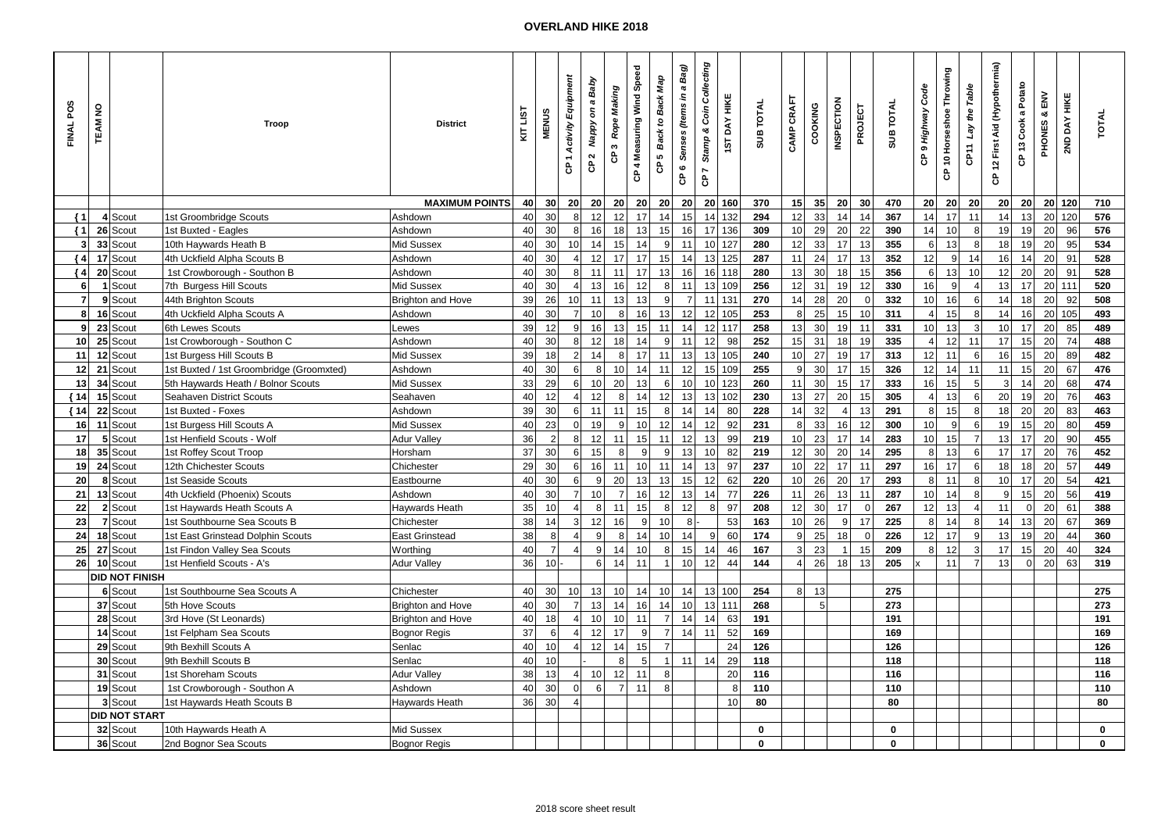## **OVERLAND HIKE 2018**

| FINAL POS            | <b>TEAM NO</b> |                       | Troop                                    | <b>District</b>          | KIT LIST | <b>MENUS</b>   | 1 Activity Equipment<br>ဇိ | Nappy on a Baby<br>CP <sub>2</sub> | Rope Making<br>s.<br>ဇိ | CP 4 Measuring Wind Speed | Map<br>Back to Back<br>ю<br>ငံ | a Bag)<br>Senses (Items in<br>CP 6 | Stamp & Coin Collecting<br>$\overline{ }$<br>$\mathbf{g}$ | <b>1ST DAY HIKE</b> | <b>SUB TOTAL</b> | CAMP CRAFT      | COOKING         | <b>INSPECTION</b> | PROJECT        | <b>SUB TOTAL</b> | CP 9 Highway Code | CP 10 Horseshoe Throwing | the Table<br>Lay<br>CPTT | CP 12 First Aid (Hypothermia) | CP 13 Cook a Potato | $\mathsf{M}$<br>œ<br>PHONES | 2ND DAY HIKE | <b>TOTAL</b> |
|----------------------|----------------|-----------------------|------------------------------------------|--------------------------|----------|----------------|----------------------------|------------------------------------|-------------------------|---------------------------|--------------------------------|------------------------------------|-----------------------------------------------------------|---------------------|------------------|-----------------|-----------------|-------------------|----------------|------------------|-------------------|--------------------------|--------------------------|-------------------------------|---------------------|-----------------------------|--------------|--------------|
|                      |                |                       |                                          | <b>MAXIMUM POINTS</b>    | 40       | 30             | 20 <sup>1</sup>            | 20 <sub>l</sub>                    | 20 <sup>1</sup>         | 20                        | 20                             | 20                                 | 20                                                        | 160                 | 370              | 15              | 35              | 20 <sup>1</sup>   | 30             | 470              | 20 <sub>1</sub>   | 20                       | 20                       | 20                            | 20 <sup>1</sup>     |                             | 20 120       | 710          |
| $\{1$                |                | 4 Scout               | 1st Groombridge Scouts                   | Ashdown                  | 40       | 30             | 8 <sup>1</sup>             | 12                                 | 12                      | 17                        | 14                             | 15                                 | 14                                                        | 132                 | 294              | 12              | 33              | 14                | 14             | 367              | 14                | 17                       | 11                       | 14                            | 13                  |                             | 20 120       | 576          |
| $\left\{ 1 \right\}$ |                | 26 Scout              | 1st Buxted - Eagles                      | Ashdown                  | 40       | 30             | 8 <sup>1</sup>             | 16                                 | 18                      | 13                        | 15                             | 16                                 | 17                                                        | 136                 | 309              | 10              | 29              | 20                | 22             | 390              | 14                | 10                       | 8                        | 19                            | 19                  | 20                          | 96           | 576          |
| $\mathbf{3}$         |                | 33 Scout              | 10th Haywards Heath B                    | Mid Sussex               | 40       | 30             | 10                         | 14                                 | 15                      | 14                        | 9                              | 11                                 | 10                                                        | 127                 | 280              | 12              | 33              | 17                | 13             | 355              | 6                 | 13                       | 8                        | 18                            | 19                  | 20                          | 95           | 534          |
| { 4                  |                | 17 Scout              | 4th Uckfield Alpha Scouts B              | Ashdown                  | 40       | 30             | $\overline{4}$             | 12                                 | 17                      | 17                        | 15                             | 14                                 | 13                                                        | 125                 | 287              | 11              | 24              | 17                | 13             | 352              | 12                | 9                        | 14                       | 16                            | 14                  | 20                          | 91           | 528          |
| $\{4$                |                | 20 Scout              | 1st Crowborough - Southon B              | Ashdown                  | 40       | 30             | 8 <sup>1</sup>             | 11                                 | 11                      | 17                        | 13                             | 16                                 | 16                                                        | 118                 | 280              | 13              | 30              | 18                | 15             | 356              | 6 <sup>1</sup>    | 13                       | 10                       | 12                            | 20                  | 20                          | 91           | 528          |
| 6                    |                | 1 Scout               | 7th Burgess Hill Scouts                  | Mid Sussex               | 40       | 30             | $\vert$                    | 13                                 | 16                      | 12                        | 8                              | 11                                 | 13                                                        | 109                 | 256              | 12              | 31              | 19                | 12             | 330              | 16                | 9                        | $\overline{4}$           | 13                            | 17                  |                             | $20$ 111     | 520          |
| $\overline{7}$       |                | 9 Scout               | 44th Brighton Scouts                     | <b>Brighton and Hove</b> | 39       | 26             | 10 <sup>1</sup>            | 11                                 | 13                      | 13                        | 9                              | $\overline{7}$                     | 11                                                        | 131                 | 270              | 14              | 28              | 20                | $\overline{0}$ | 332              | 10 <sup>1</sup>   | 16                       | $6 \,$                   | 14                            | 18                  | 20                          | 92           | 508          |
| 8                    |                | 16 Scout              | 4th Uckfield Alpha Scouts A              | Ashdown                  | 40       | 30             | $\overline{7}$             | 10                                 | 8 <sup>1</sup>          | 16                        | 13                             | 12                                 | 12                                                        | 105                 | 253              | 8 <sup>1</sup>  | 25              | 15                | 10             | 311              | $\overline{4}$    | 15                       | 8                        | 14                            | 16                  |                             | 20 105       | 493          |
| 9                    |                | 23 Scout              | 6th Lewes Scouts                         | Lewes                    | 39       | 12             | 9                          | 16                                 | 13                      | 15                        | 11                             | 14                                 | 12                                                        | 117                 | 258              | 13              | 30 <sup>2</sup> | 19                | 11             | 331              | 10 <sup>1</sup>   | 13                       | 3                        | 10                            | 17                  | 20                          | 85           | 489          |
| 10                   |                | 25 Scout              | 1st Crowborough - Southon C              | Ashdown                  | 40       | 30             | 8 <sup>1</sup>             | 12                                 | 18                      | 14                        | $\boldsymbol{9}$               | 11                                 | 12                                                        | 98                  | 252              | 15              | 31              | 18                | 19             | 335              | $\overline{4}$    | 12                       | 11                       | 17                            | 15                  | 20                          | 74           | 488          |
| 11                   |                | 12 Scout              | 1st Burgess Hill Scouts B                | Mid Sussex               | 39       | 18             | $\overline{2}$             | 14                                 | 8                       | 17                        | 11                             | 13                                 | 13                                                        | 105                 | 240              | 10 <sup>1</sup> | 27              | 19                | 17             | 313              | 12                | 11                       | 6                        | 16                            | 15                  | 20                          | 89           | 482          |
| 12                   |                | 21 Scout              | 1st Buxted / 1st Groombridge (Groomxted) | Ashdown                  | 40       | 30             | 6 <sup>1</sup>             | 8                                  | 10                      | 14                        | 11                             | 12                                 | 15                                                        | 109                 | 255              | 9               | 30 <sup>°</sup> | 17                | 15             | 326              | 12                | 14                       | 11                       | 11                            | 15                  | 20                          | 67           | 476          |
| 13                   |                | 34 Scout              | 5th Haywards Heath / Bolnor Scouts       | Mid Sussex               | 33       | 29             | 6                          | 10 <sup>1</sup>                    | 20                      | 13                        | 6                              | 10                                 | 10                                                        | 123                 | 260              | 11              | 30              | 15                | 17             | 333              | 16                | 15                       | 5                        | 3 <sup>1</sup>                | 14                  | 20                          | 68           | 474          |
| ${14}$               |                | 15 Scout              | Seahaven District Scouts                 | Seahaven                 | 40       | 12             | $\overline{4}$             | 12                                 | 8 <sup>1</sup>          | 14                        | 12                             | 13                                 | 13                                                        | 102                 | 230              | 13              | 27              | 20                | 15             | 305              | $\vert 4 \vert$   | 13                       | 6                        | 20                            | 19                  | 20                          | 76           | 463          |
| ${14}$               |                | 22 Scout              | 1st Buxted - Foxes                       | Ashdown                  | 39       | 30             | 6                          | 11                                 | 11                      | 15                        | $\bf8$                         | 14                                 | 14                                                        | 80                  | 228              | 14              | 32              | 4                 | 13             | 291              | $\bf{8}$          | 15                       | 8                        | 18                            | 20 <sup>2</sup>     | 20                          | 83           | 463          |
| 16                   |                | 11 Scout              | 1st Burgess Hill Scouts A                | Mid Sussex               | 40       | 23             | $\overline{0}$             | 19                                 | 9                       | 10                        | 12                             | 14                                 | 12                                                        | 92                  | 231              | 8 <sup>1</sup>  | 33              | 16                | 12             | 300              | 10                | 9                        | 6                        | 19                            | 15                  | 20                          | 80           | 459          |
| 17                   |                | 5 Scout               | 1st Henfield Scouts - Wolf               | <b>Adur Valley</b>       | 36       | $\overline{2}$ | 8                          | 12                                 | 11                      | 15                        | 11                             | 12                                 | 13                                                        | 99                  | 219              | 10              | 23              | 17                | 14             | 283              | 10                | 15                       | $\overline{7}$           | 13                            | 17                  | 20                          | 90           | 455          |
| 18                   |                | 35 Scout              | 1st Roffey Scout Troop                   | Horsham                  | 37       | 30             | 6                          | 15                                 | 8                       | $\overline{9}$            | 9                              | 13                                 | 10                                                        | 82                  | 219              | 12              | 30 <sub>o</sub> | 20                | 14             | 295              | $\bf 8$           | 13                       | 6                        | 17                            | 17                  | 20                          | 76           | 452          |
| 19                   |                | 24 Scout              | 12th Chichester Scouts                   | Chichester               | 29       | $30\,$         | 6                          | 16                                 | 11                      | 10 <sup>1</sup>           | 11                             | 14                                 | 13                                                        | 97                  | 237              | 10              | 22              | 17                | 11             | 297              | 16                | 17                       | 6                        | 18                            | 18                  | 20                          | 57           | 449          |
| 20                   |                | 8 Scout               | 1st Seaside Scouts                       | Eastbourne               | 40       | 30             | $6 \overline{6}$           | 9                                  | 20                      | 13                        | 13                             | 15                                 | 12                                                        | 62                  | 220              | 10              | 26              | 20 <sup>1</sup>   | 17             | 293              | 8 <sup>1</sup>    | 11                       | 8 <sup>1</sup>           | 10 <sup>1</sup>               | 17                  | 20                          | 54           | 421          |
| 21                   |                | 13 Scout              | 4th Uckfield (Phoenix) Scouts            | Ashdown                  | 40       | 30             | $\overline{7}$             | 10 <sup>1</sup>                    | $\overline{7}$          | 16                        | 12                             | 13                                 | 14                                                        | 77                  | 226              | 11              | 26              | 13                | 11             | 287              | 10 <sup>1</sup>   | 14                       | 8                        | 9                             | 15                  | 20                          | 56           | 419          |
| 22                   |                | 2 Scout               | 1st Haywards Heath Scouts A              | Haywards Heath           | 35       | 10             | $\overline{4}$             | 8 <sup>1</sup>                     | 11                      | 15                        | 8                              | 12                                 |                                                           | 97                  | 208              | 12              | 30              | 17                | $\overline{0}$ | 267              | 12                | 13                       | $\overline{4}$           | 11                            | $\overline{0}$      | 20                          | 61           | 388          |
| 23                   |                | 7 Scout               | 1st Southbourne Sea Scouts B             | Chichester               | 38       | 14             | 3 <sup>1</sup>             | 12                                 | 16                      | $\mathfrak{g}$            | 10                             | 8                                  |                                                           | 53                  | 163              | 10              | 26              | 9 <sup>1</sup>    | 17             | 225              | $\bf{8}$          | 14                       | 8                        | 14                            | 13                  | 20                          | 67           | 369          |
| 24                   |                | 18 Scout              | 1st East Grinstead Dolphin Scouts        | <b>East Grinstead</b>    | 38       | 8              | $\overline{4}$             | 9                                  | 8 <sup>1</sup>          | 14                        | 10                             | 14                                 | 9                                                         | 60                  | 174              | 9               | 25              | 18                | $\Omega$       | 226              | 12                | 17                       | 9                        | 13                            | 19                  | 20                          | 44           | 360          |
| 25                   |                | 27 Scout              | 1st Findon Valley Sea Scouts             | Worthing                 | 40       | $\overline{7}$ | $\overline{4}$             | 9 <sup>1</sup>                     | 14                      | 10                        | 8                              | 15                                 | 14                                                        | 46                  | 167              | 3 <sup>1</sup>  | 23              | 1                 | 15             | 209              | 8 <sup>1</sup>    | 12                       | 3                        | 17                            | 15                  | 20                          | 40           | 324          |
| 26 <sup>1</sup>      |                | 10 Scout              | 1st Henfield Scouts - A's                | <b>Adur Valley</b>       | 36       | 10             |                            | 6                                  | 14                      | 11                        | $\overline{1}$                 | 10                                 | 12                                                        | 44                  | 144              | $\vert$         | 26              | 18                | 13             | 205              |                   | 11                       | $\overline{7}$           | 13                            | $\overline{0}$      | 20                          | 63           | 319          |
|                      |                | <b>DID NOT FINISH</b> |                                          |                          |          |                |                            |                                    |                         |                           |                                |                                    |                                                           |                     |                  |                 |                 |                   |                |                  |                   |                          |                          |                               |                     |                             |              |              |
|                      |                | 6 Scout               | 1st Southbourne Sea Scouts A             | Chichester               | 40       | 30             | 10                         | 13                                 | 10 <sup>1</sup>         | 14                        | 10                             | 14                                 | 13                                                        | 100                 | 254              | 8 <sup>1</sup>  | 13              |                   |                | 275              |                   |                          |                          |                               |                     |                             |              | 275          |
|                      |                | 37 Scout              | 5th Hove Scouts                          | <b>Brighton and Hove</b> | 40       | 30             | 7                          | 13                                 | 14                      | 16                        | 14                             | 10                                 | 13                                                        | 111                 | 268              |                 | 5 <sup>5</sup>  |                   |                | 273              |                   |                          |                          |                               |                     |                             |              | 273          |
|                      |                | 28 Scout              | 3rd Hove (St Leonards)                   | Brighton and Hove        | 40       | 18             | $\overline{4}$             | 10 <sup>1</sup>                    | 10                      | 11                        | $\overline{7}$                 | 14                                 | 14                                                        | 63                  | 191              |                 |                 |                   |                | 191              |                   |                          |                          |                               |                     |                             |              | 191          |
|                      |                | 14 Scout              | 1st Felpham Sea Scouts                   | <b>Bognor Regis</b>      | 37       | 6              | $\vert$ 4                  | 12                                 | 17                      | $\overline{9}$            | $\overline{7}$                 | 14                                 | 11                                                        | 52                  | 169              |                 |                 |                   |                | 169              |                   |                          |                          |                               |                     |                             |              | 169          |
|                      |                | 29 Scout              | 9th Bexhill Scouts A                     | Senlac                   | 40       | 10             | $\overline{4}$             | 12                                 | 14                      | 15                        | $\overline{7}$                 |                                    |                                                           | 24                  | 126              |                 |                 |                   |                | 126              |                   |                          |                          |                               |                     |                             |              | 126          |
|                      |                | 30 Scout              | 9th Bexhill Scouts B                     | Senlac                   | 40       | 10             |                            |                                    | 8                       | 5                         | $\mathbf{1}$                   | 11                                 | 14                                                        | 29                  | 118              |                 |                 |                   |                | 118              |                   |                          |                          |                               |                     |                             |              | 118          |
|                      |                | 31 Scout              | 1st Shoreham Scouts                      | <b>Adur Valley</b>       | 38       | 13             | $\overline{4}$             | 10 <sup>1</sup>                    | 12                      | 11                        | 8                              |                                    |                                                           | 20                  | 116              |                 |                 |                   |                | 116              |                   |                          |                          |                               |                     |                             |              | 116          |
|                      |                | 19 Scout              | 1st Crowborough - Southon A              | Ashdown                  | 40       | 30             | $\overline{0}$             | 6                                  | $\overline{7}$          | 11                        | 8                              |                                    |                                                           | 8                   | 110              |                 |                 |                   |                | 110              |                   |                          |                          |                               |                     |                             |              | 110          |
|                      |                | 3 Scout               | 1st Haywards Heath Scouts B              | Haywards Heath           | 36       | 30             | $\overline{4}$             |                                    |                         |                           |                                |                                    |                                                           | 10 <sup>1</sup>     | 80               |                 |                 |                   |                | 80               |                   |                          |                          |                               |                     |                             |              | 80           |
|                      |                | <b>DID NOT START</b>  |                                          |                          |          |                |                            |                                    |                         |                           |                                |                                    |                                                           |                     |                  |                 |                 |                   |                |                  |                   |                          |                          |                               |                     |                             |              |              |
|                      |                | 32 Scout              | 10th Haywards Heath A                    | Mid Sussex               |          |                |                            |                                    |                         |                           |                                |                                    |                                                           |                     | $\mathbf 0$      |                 |                 |                   |                | $\mathbf 0$      |                   |                          |                          |                               |                     |                             |              | 0            |
|                      |                | 36 Scout              | 2nd Bognor Sea Scouts                    | <b>Bognor Regis</b>      |          |                |                            |                                    |                         |                           |                                |                                    |                                                           |                     | <sup>0</sup>     |                 |                 |                   |                | $\bf{0}$         |                   |                          |                          |                               |                     |                             |              | 0            |